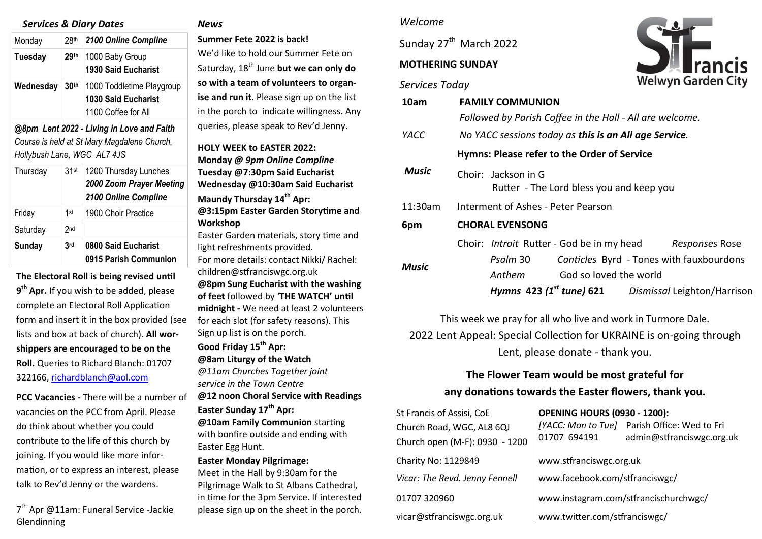## *Services & Diary Dates*

| Monday    | 28 <sup>th</sup> | 2100 Online Compline                                                           |
|-----------|------------------|--------------------------------------------------------------------------------|
| Tuesday   | 29 <sup>th</sup> | 1000 Baby Group<br><b>1930 Said Eucharist</b>                                  |
| Wednesday | 30 <sup>th</sup> | 1000 Toddletime Playgroup<br><b>1030 Said Eucharist</b><br>1100 Coffee for All |

*@8pm Lent 2022 - Living in Love and Faith Course is held at St Mary Magdalene Church, Hollybush Lane, WGC AL7 4JS* 

| Thursday | 31 <sub>st</sub> | 1200 Thursday Lunches<br>2000 Zoom Prayer Meeting<br>2100 Online Compline |
|----------|------------------|---------------------------------------------------------------------------|
| Friday   | 1st              | 1900 Choir Practice                                                       |
| Saturday | 2 <sub>nd</sub>  |                                                                           |
| Sunday   | 3 <sub>rd</sub>  | 0800 Said Eucharist<br>0915 Parish Communion                              |

**The Electoral Roll is being revised until 9 th Apr.** If you wish to be added, please complete an Electoral Roll Application form and insert it in the box provided (see lists and box at back of church). **All worshippers are encouraged to be on the Roll.** Queries to Richard Blanch: 01707 322166, [richardblanch@aol.com](mailto:richardblanch@aol.com) 

**PCC Vacancies -** There will be a number of vacancies on the PCC from April. Please do think about whether you could contribute to the life of this church by joining. If you would like more information, or to express an interest, please talk to Rev'd Jenny or the wardens.

7<sup>th</sup> Apr @11am: Funeral Service -Jackie Glendinning

#### *News*

**Summer Fete 2022 is back!** 

We'd like to hold our Summer Fete on Saturday, 18<sup>th</sup> June but we can only do **so with a team of volunteers to organise and run it**. Please sign up on the list in the porch to indicate willingness. Any queries, please speak to Rev'd Jenny.

**HOLY WEEK to EASTER 2022: Monday** *@ 9pm Online Compline*  **Tuesday @7:30pm Said Eucharist Wednesday @10:30am Said Eucharist Maundy Thursday 14th Apr: @3:15pm Easter Garden Storytime and Workshop**  Easter Garden materials, story time and light refreshments provided. For more details: contact Nikki/ Rachel: children@stfranciswgc.org.uk **@8pm Sung Eucharist with the washing of feet** followed by '**THE WATCH' until midnight -** We need at least 2 volunteers

for each slot (for safety reasons). This Sign up list is on the porch.

**Good Friday 15th Apr: @8am Liturgy of the Watch**  *@11am Churches Together joint service in the Town Centre*  **@12 noon Choral Service with Readings Easter Sunday 17th Apr: @10am Family Communion** starting

with bonfire outside and ending with Easter Egg Hunt.

## **Easter Monday Pilgrimage:**

Meet in the Hall by 9:30am for the Pilgrimage Walk to St Albans Cathedral, in time for the 3pm Service. If interested please sign up on the sheet in the porch.

## *Welcome*

Sunday 27<sup>th</sup> March 2022

# **MOTHERING SUNDAY**

#### *Services Today*



| 10am    | <b>FAMILY COMMUNION</b>                                          |  |  |  |  |
|---------|------------------------------------------------------------------|--|--|--|--|
|         | Followed by Parish Coffee in the Hall - All are welcome.         |  |  |  |  |
| YACC    | No YACC sessions today as this is an All age Service.            |  |  |  |  |
|         | Hymns: Please refer to the Order of Service                      |  |  |  |  |
| Music   | Choir: Jackson in G<br>Rutter - The Lord bless you and keep you  |  |  |  |  |
| 11:30am | Interment of Ashes - Peter Pearson                               |  |  |  |  |
| 6pm     | <b>CHORAL EVENSONG</b>                                           |  |  |  |  |
|         | Choir: Introit Rutter - God be in my head<br>Responses Rose      |  |  |  |  |
| Music   | Psalm 30<br>Canticles Byrd - Tones with fauxbourdons             |  |  |  |  |
|         | God so loved the world<br>Anthem                                 |  |  |  |  |
|         | Hymns 423 (1 <sup>st</sup> tune) 621 Dismissal Leighton/Harrison |  |  |  |  |

This week we pray for all who live and work in Turmore Dale. 2022 Lent Appeal: Special Collection for UKRAINE is on-going through

Lent, please donate - thank you.

# **The Flower Team would be most grateful for any donations towards the Easter flowers, thank you.**

| St Francis of Assisi, CoE      | <b>OPENING HOURS (0930 - 1200):</b>   |                                                                           |  |
|--------------------------------|---------------------------------------|---------------------------------------------------------------------------|--|
| Church Road, WGC, AL8 6QJ      | 01707 694191                          | [YACC: Mon to Tue] Parish Office: Wed to Fri<br>admin@stfranciswgc.org.uk |  |
| Church open (M-F): 0930 - 1200 |                                       |                                                                           |  |
| Charity No: 1129849            | www.stfranciswgc.org.uk               |                                                                           |  |
| Vicar: The Revd. Jenny Fennell | www.facebook.com/stfranciswgc/        |                                                                           |  |
| 01707 320960                   | www.instagram.com/stfrancischurchwgc/ |                                                                           |  |
| vicar@stfranciswgc.org.uk      | www.twitter.com/stfranciswgc/         |                                                                           |  |